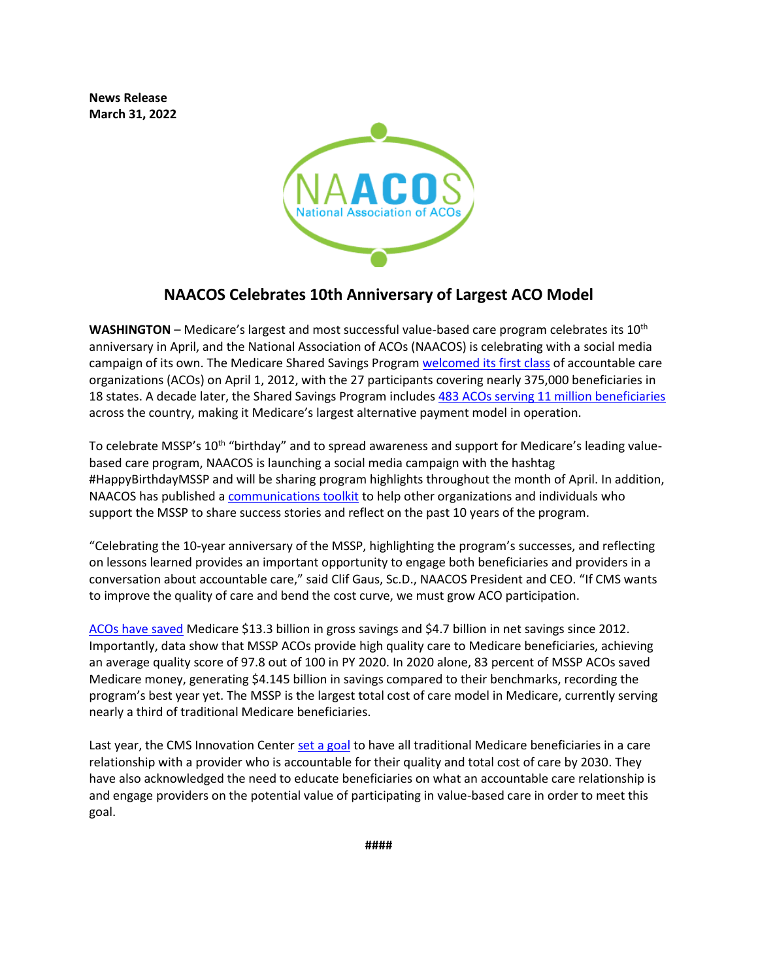**News Release March 31, 2022**



## **NAACOS Celebrates 10th Anniversary of Largest ACO Model**

**WASHINGTON** – Medicare's largest and most successful value-based care program celebrates its 10th anniversary in April, and the National Association of ACOs (NAACOS) is celebrating with a social media campaign of its own. The Medicare Shared Savings Program [welcomed its first class](https://www.cms.gov/newsroom/fact-sheets/first-accountable-care-organizations-under-medicare-shared-savings-program) of accountable care organizations (ACOs) on April 1, 2012, with the 27 participants covering nearly 375,000 beneficiaries in 18 states. A decade later, the Shared Savings Program includes [483 ACOs serving 11 million beneficiaries](https://www.cms.gov/files/document/2022-shared-savings-program-fast-facts.pdf) across the country, making it Medicare's largest alternative payment model in operation.

To celebrate MSSP's 10<sup>th</sup> "birthday" and to spread awareness and support for Medicare's leading valuebased care program, NAACOS is launching a social media campaign with the hashtag #HappyBirthdayMSSP and will be sharing program highlights throughout the month of April. In addition, NAACOS has published a [communications toolkit](https://www.naacos.com/mssp-birthday-communications-toolkit-april-2022) to help other organizations and individuals who support the MSSP to share success stories and reflect on the past 10 years of the program.

"Celebrating the 10-year anniversary of the MSSP, highlighting the program's successes, and reflecting on lessons learned provides an important opportunity to engage both beneficiaries and providers in a conversation about accountable care," said Clif Gaus, Sc.D., NAACOS President and CEO. "If CMS wants to improve the quality of care and bend the cost curve, we must grow ACO participation.

[ACOs have saved](https://www.naacos.com/highlights-of-the-2020-medicare-aco-program-results) Medicare \$13.3 billion in gross savings and \$4.7 billion in net savings since 2012. Importantly, data show that MSSP ACOs provide high quality care to Medicare beneficiaries, achieving an average quality score of 97.8 out of 100 in PY 2020. In 2020 alone, 83 percent of MSSP ACOs saved Medicare money, generating \$4.145 billion in savings compared to their benchmarks, recording the program's best year yet. The MSSP is the largest total cost of care model in Medicare, currently serving nearly a third of traditional Medicare beneficiaries.

Last year, the CMS Innovation Cente[r set a goal](https://innovation.cms.gov/strategic-direction-whitepaper) to have all traditional Medicare beneficiaries in a care relationship with a provider who is accountable for their quality and total cost of care by 2030. They have also acknowledged the need to educate beneficiaries on what an accountable care relationship is and engage providers on the potential value of participating in value-based care in order to meet this goal.